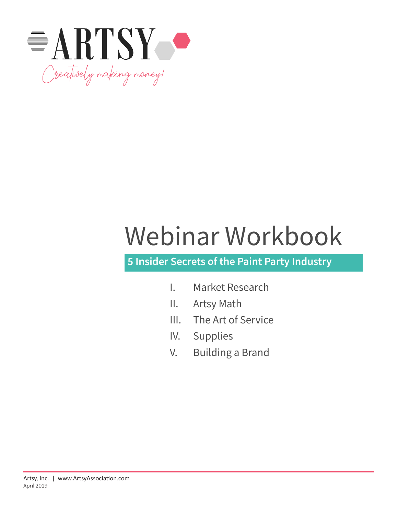

# Webinar Workbook

# **5 Insider Secrets of the Paint Party Industry**

- I. Market Research
- II. Artsy Math
- III. The Art of Service
- IV. Supplies
- V. Building a Brand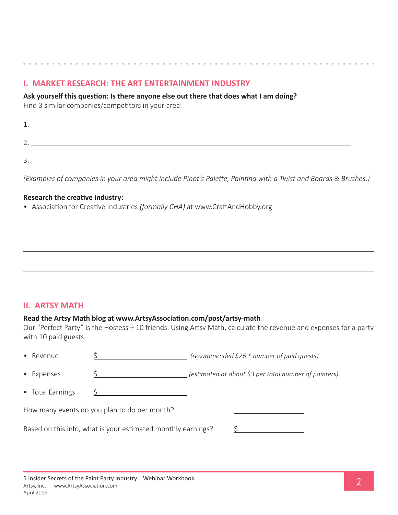# **I. MARKET RESEARCH: THE ART ENTERTAINMENT INDUSTRY**

**Ask yourself this question: Is there anyone else out there that does what I am doing?**

Find 3 similar companies/competitors in your area:

| <b></b>                  |  |
|--------------------------|--|
|                          |  |
| <u>_</u>                 |  |
|                          |  |
| $\overline{\phantom{a}}$ |  |
|                          |  |

*(Examples of companies in your area might include Pinot's Palette, Painting with a Twist and Boards & Brushes.)*

#### **Research the creative industry:**

• Association for Creative Industries *(formally CHA)* at www.CraftAndHobby.org

## **II. ARTSY MATH**

#### **Read the Artsy Math blog at www.ArtsyAssociation.com/post/artsy-math**

Our "Perfect Party" is the Hostess + 10 friends. Using Artsy Math, calculate the revenue and expenses for a party with 10 paid guests:

| • Revenue        |                                                              | (recommended \$26 * number of paid guests)            |
|------------------|--------------------------------------------------------------|-------------------------------------------------------|
| • Expenses       |                                                              | (estimated at about \$3 per total number of painters) |
| • Total Earnings |                                                              |                                                       |
|                  | How many events do you plan to do per month?                 |                                                       |
|                  | Based on this info, what is your estimated monthly earnings? |                                                       |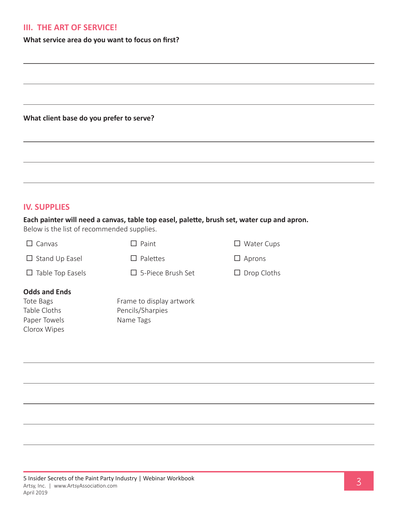#### **III. THE ART OF SERVICE!**

**What service area do you want to focus on first?** 

**What client base do you prefer to serve?** 

#### **IV. SUPPLIES**

#### **Each painter will need a canvas, table top easel, palette, brush set, water cup and apron.**

Below is the list of recommended supplies.

| Canvas                  | $\Box$ Paint             | $\Box$ Water Cups  |
|-------------------------|--------------------------|--------------------|
| $\Box$ Stand Up Easel   | $\Box$ Palettes          | $\Box$ Aprons      |
| $\Box$ Table Top Easels | $\Box$ 5-Piece Brush Set | $\Box$ Drop Cloths |
| <b>Odds and Ends</b>    |                          |                    |
| Tote Bags               | Frame to display artwork |                    |
| Table Cloths            | Pencils/Sharpies         |                    |
| Paper Towels            | Name Tags                |                    |